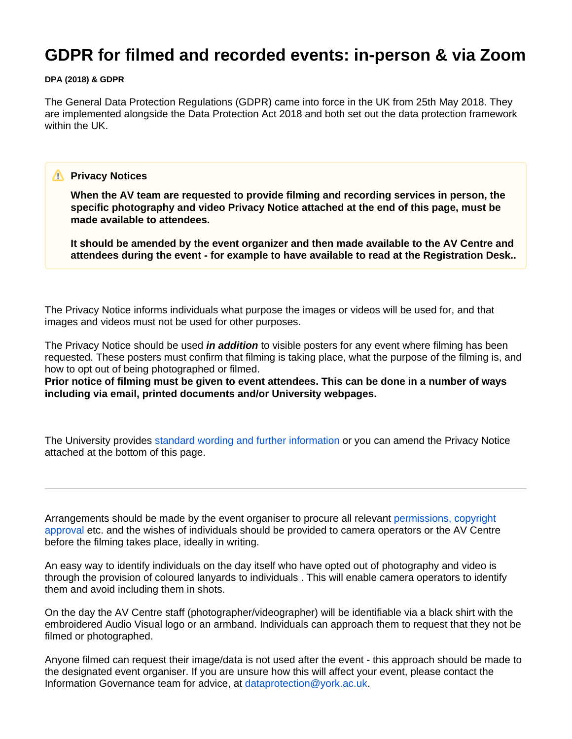# **GDPR for filmed and recorded events: in-person & via Zoom**

#### **DPA (2018) & GDPR**

The General Data Protection Regulations (GDPR) came into force in the UK from 25th May 2018. They are implemented alongside the Data Protection Act 2018 and both set out the data protection framework within the UK.

#### **Privacy Notices**

**When the AV team are requested to provide filming and recording services in person, the specific photography and video Privacy Notice attached at the end of this page, must be made available to attendees.**

**It should be amended by the event organizer and then made available to the AV Centre and attendees during the event - for example to have available to read at the Registration Desk..**

The Privacy Notice informs individuals what purpose the images or videos will be used for, and that images and videos must not be used for other purposes.

The Privacy Notice should be used **in addition** to visible posters for any event where filming has been requested. These posters must confirm that filming is taking place, what the purpose of the filming is, and how to opt out of being photographed or filmed.

**Prior notice of filming must be given to event attendees. This can be done in a number of ways including via email, printed documents and/or University webpages.**

The University provides [standard wording and further information](https://www.york.ac.uk/records-management/dp/guidance/privacynotices/) or you can amend the Privacy Notice attached at the bottom of this page.

Arrangements should be made by the event organiser to procure all relevant [permissions, copyright](https://wiki.york.ac.uk/pages/viewpage.action?pageId=210837788)  [approval](https://wiki.york.ac.uk/pages/viewpage.action?pageId=210837788) etc. and the wishes of individuals should be provided to camera operators or the AV Centre before the filming takes place, ideally in writing.

An easy way to identify individuals on the day itself who have opted out of photography and video is through the provision of coloured lanyards to individuals . This will enable camera operators to identify them and avoid including them in shots.

On the day the AV Centre staff (photographer/videographer) will be identifiable via a black shirt with the embroidered Audio Visual logo or an armband. Individuals can approach them to request that they not be filmed or photographed.

Anyone filmed can request their image/data is not used after the event - this approach should be made to the designated event organiser. If you are unsure how this will affect your event, please contact the Information Governance team for advice, at [dataprotection@york.ac.uk](mailto:dataprotection@york.ac.uk).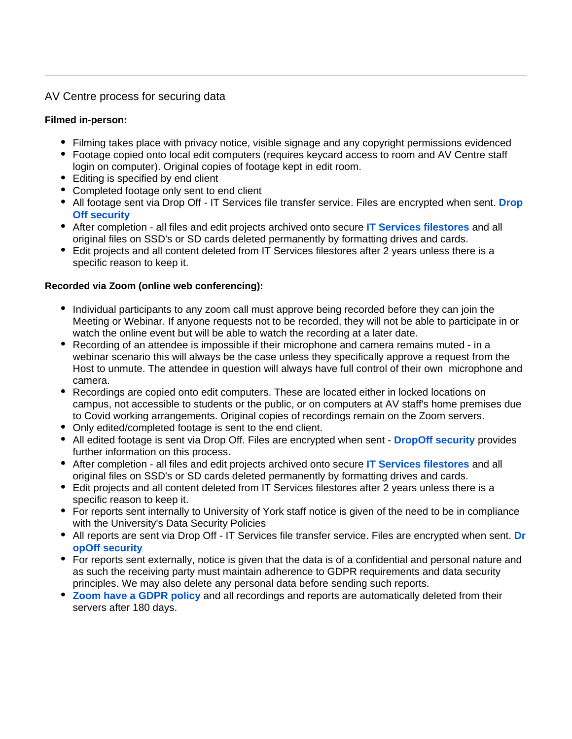# AV Centre process for securing data

## **Filmed in-person:**

- Filming takes place with privacy notice, visible signage and any copyright permissions evidenced
- Footage copied onto local edit computers (requires keycard access to room and AV Centre staff login on computer). Original copies of footage kept in edit room.
- Editing is specified by end client
- Completed footage only sent to end client
- All footage sent via Drop Off IT Services file transfer service. Files are encrypted when sent. **[Drop](https://dropoff.york.ac.uk/security) [Off security](https://dropoff.york.ac.uk/security)**
- After completion all files and edit projects archived onto secure **[IT Services filestores](https://www.york.ac.uk/it-services/security/files/)** and all original files on SSD's or SD cards deleted permanently by formatting drives and cards.
- Edit projects and all content deleted from IT Services filestores after 2 years unless there is a specific reason to keep it.

### **Recorded via Zoom (online web conferencing):**

- Individual participants to any zoom call must approve being recorded before they can join the Meeting or Webinar. If anyone requests not to be recorded, they will not be able to participate in or watch the online event but will be able to watch the recording at a later date.
- Recording of an attendee is impossible if their microphone and camera remains muted in a webinar scenario this will always be the case unless they specifically approve a request from the Host to unmute. The attendee in question will always have full control of their own microphone and camera.
- Recordings are copied onto edit computers. These are located either in locked locations on campus, not accessible to students or the public, or on computers at AV staff's home premises due to Covid working arrangements. Original copies of recordings remain on the Zoom servers.
- Only edited/completed footage is sent to the end client.
- All edited footage is sent via Drop Off. Files are encrypted when sent **[DropOff security](https://dropoff.york.ac.uk/security)** provides further information on this process.
- After completion all files and edit projects archived onto secure **[IT Services filestores](https://www.york.ac.uk/it-services/security/files/)** and all original files on SSD's or SD cards deleted permanently by formatting drives and cards.
- Edit projects and all content deleted from IT Services filestores after 2 years unless there is a specific reason to keep it.
- For reports sent internally to University of York staff notice is given of the need to be in compliance with the University's Data Security Policies
- All reports are sent via Drop Off IT Services file transfer service. Files are encrypted when sent. **[Dr](https://dropoff.york.ac.uk/security) [opOff security](https://dropoff.york.ac.uk/security)**
- For reports sent externally, notice is given that the data is of a confidential and personal nature and as such the receiving party must maintain adherence to GDPR requirements and data security principles. We may also delete any personal data before sending such reports.
- **[Zoom have a GDPR policy](https://zoom.us/gdpr)** and all recordings and reports are automatically deleted from their servers after 180 days.